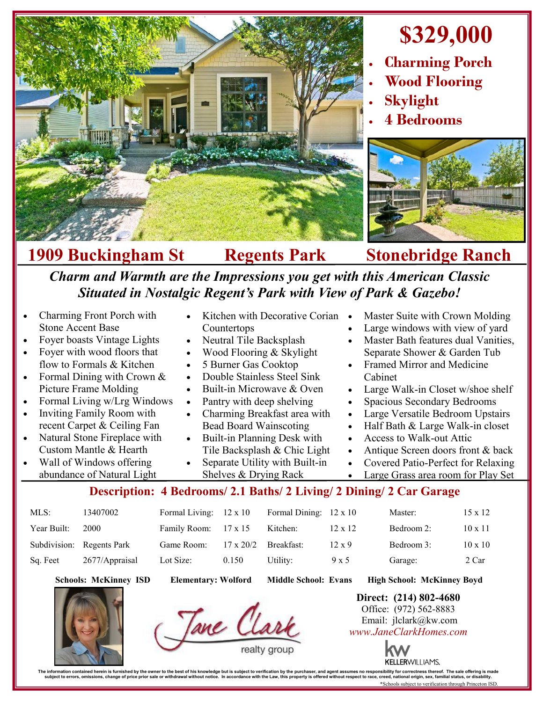

## **\$329,000**

- **Charming Porch**
- **Wood Flooring**
- **Skylight**
- **4 Bedrooms**



**1909 Buckingham St Regents Park Stonebridge Ranch**

## *Charm and Warmth are the Impressions you get with this American Classic Situated in Nostalgic Regent's Park with View of Park & Gazebo!*

 Charming Front Porch with Stone Accent Base Foyer boasts Vintage Lights Foyer with wood floors that flow to Formals & Kitchen Formal Dining with Crown & Picture Frame Molding Formal Living w/Lrg Windows Inviting Family Room with recent Carpet & Ceiling Fan Natural Stone Fireplace with Custom Mantle & Hearth Wall of Windows offering abundance of Natural Light Kitchen with Decorative Corian • Countertops Neutral Tile Backsplash Wood Flooring & Skylight 5 Burner Gas Cooktop Double Stainless Steel Sink Built-in Microwave & Oven Pantry with deep shelving Charming Breakfast area with Bead Board Wainscoting Built-in Planning Desk with Tile Backsplash & Chic Light Separate Utility with Built-in Shelves & Drying Rack Master Suite with Crown Molding Large windows with view of yard Master Bath features dual Vanities, Separate Shower & Garden Tub Framed Mirror and Medicine Cabinet Large Walk-in Closet w/shoe shelf Spacious Secondary Bedrooms Large Versatile Bedroom Upstairs Half Bath & Large Walk-in closet Access to Walk-out Attic Antique Screen doors front & back Covered Patio-Perfect for Relaxing Large Grass area room for Play Set

## **Description: 4 Bedrooms/ 2.1 Baths/ 2 Living/ 2 Dining/ 2 Car Garage**

| MLS:        | 13407002                  | Formal Living: $12 \times 10$ |                  | Formal Dining: $12 \times 10$ |                | Master:    | $15 \times 12$ |
|-------------|---------------------------|-------------------------------|------------------|-------------------------------|----------------|------------|----------------|
| Year Built: | 2000                      | Family Room: 17 x 15          |                  | Kitchen:                      | $12 \times 12$ | Bedroom 2: | $10 \times 11$ |
|             | Subdivision: Regents Park | Game Room:                    | $17 \times 20/2$ | Breakfast:                    | $12 \times 9$  | Bedroom 3: | $10 \times 10$ |
| Sq. Feet    | 2677/Appraisal            | Lot Size:                     | 0.150            | Utility:                      | 9 x 5          | Garage:    | 2 Car          |

**Schools: McKinney ISD Elementary: Wolford Middle School: Evans High School: McKinney Boyd**

Tane Clar

**Direct: (214) 802-4680** Office: (972) 562-8883 Email: jlclark@kw.com *www.JaneClarkHomes.com*



**KELLERWILLIAMS.** 

The information contained heren is furnished by the owner to the best of his knowledge but is subject to verification by the purchaser, and agent assumes no responsibility for corrections the subject to errors, omissions, \*Schools subject to verification through Princeton ISD.